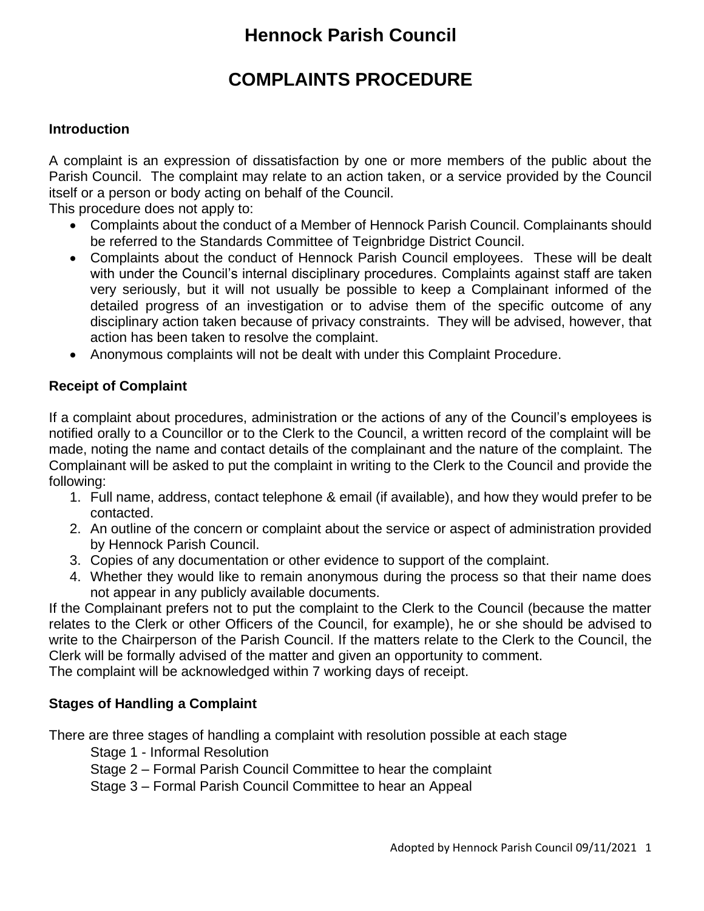# **COMPLAINTS PROCEDURE**

#### **Introduction**

A complaint is an expression of dissatisfaction by one or more members of the public about the Parish Council. The complaint may relate to an action taken, or a service provided by the Council itself or a person or body acting on behalf of the Council.

This procedure does not apply to:

- Complaints about the conduct of a Member of Hennock Parish Council. Complainants should be referred to the Standards Committee of Teignbridge District Council.
- Complaints about the conduct of Hennock Parish Council employees. These will be dealt with under the Council's internal disciplinary procedures. Complaints against staff are taken very seriously, but it will not usually be possible to keep a Complainant informed of the detailed progress of an investigation or to advise them of the specific outcome of any disciplinary action taken because of privacy constraints. They will be advised, however, that action has been taken to resolve the complaint.
- Anonymous complaints will not be dealt with under this Complaint Procedure.

#### **Receipt of Complaint**

If a complaint about procedures, administration or the actions of any of the Council's employees is notified orally to a Councillor or to the Clerk to the Council, a written record of the complaint will be made, noting the name and contact details of the complainant and the nature of the complaint. The Complainant will be asked to put the complaint in writing to the Clerk to the Council and provide the following:

- 1. Full name, address, contact telephone & email (if available), and how they would prefer to be contacted.
- 2. An outline of the concern or complaint about the service or aspect of administration provided by Hennock Parish Council.
- 3. Copies of any documentation or other evidence to support of the complaint.
- 4. Whether they would like to remain anonymous during the process so that their name does not appear in any publicly available documents.

If the Complainant prefers not to put the complaint to the Clerk to the Council (because the matter relates to the Clerk or other Officers of the Council, for example), he or she should be advised to write to the Chairperson of the Parish Council. If the matters relate to the Clerk to the Council, the Clerk will be formally advised of the matter and given an opportunity to comment.

The complaint will be acknowledged within 7 working days of receipt.

### **Stages of Handling a Complaint**

There are three stages of handling a complaint with resolution possible at each stage

Stage 1 - Informal Resolution

Stage 2 – Formal Parish Council Committee to hear the complaint

Stage 3 – Formal Parish Council Committee to hear an Appeal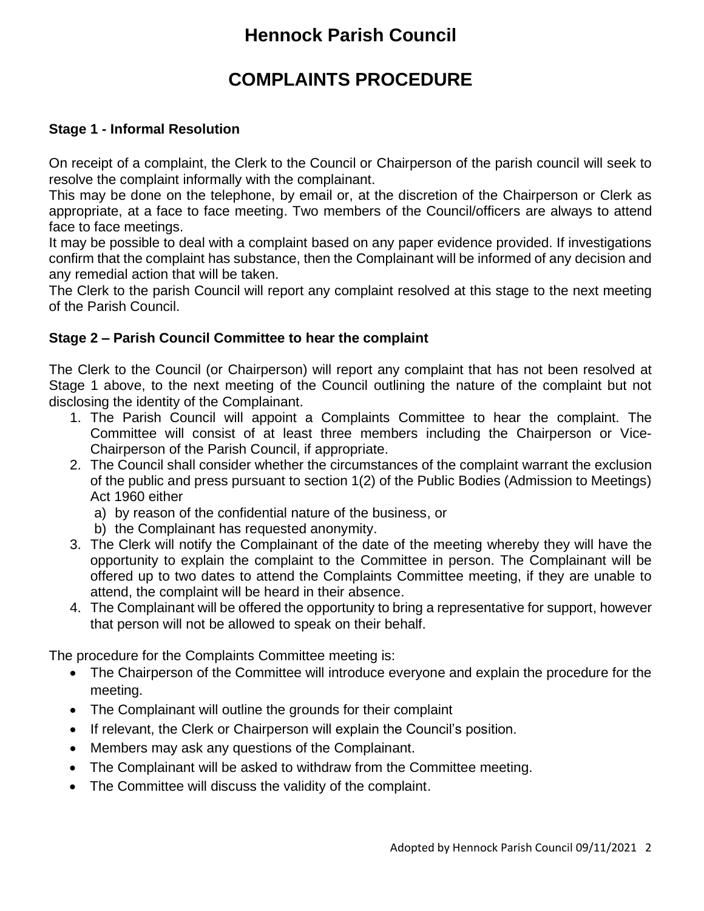# **COMPLAINTS PROCEDURE**

### **Stage 1 - Informal Resolution**

On receipt of a complaint, the Clerk to the Council or Chairperson of the parish council will seek to resolve the complaint informally with the complainant.

This may be done on the telephone, by email or, at the discretion of the Chairperson or Clerk as appropriate, at a face to face meeting. Two members of the Council/officers are always to attend face to face meetings.

It may be possible to deal with a complaint based on any paper evidence provided. If investigations confirm that the complaint has substance, then the Complainant will be informed of any decision and any remedial action that will be taken.

The Clerk to the parish Council will report any complaint resolved at this stage to the next meeting of the Parish Council.

#### **Stage 2 – Parish Council Committee to hear the complaint**

The Clerk to the Council (or Chairperson) will report any complaint that has not been resolved at Stage 1 above, to the next meeting of the Council outlining the nature of the complaint but not disclosing the identity of the Complainant.

- 1. The Parish Council will appoint a Complaints Committee to hear the complaint. The Committee will consist of at least three members including the Chairperson or Vice-Chairperson of the Parish Council, if appropriate.
- 2. The Council shall consider whether the circumstances of the complaint warrant the exclusion of the public and press pursuant to section 1(2) of the Public Bodies (Admission to Meetings) Act 1960 either
	- a) by reason of the confidential nature of the business, or
	- b) the Complainant has requested anonymity.
- 3. The Clerk will notify the Complainant of the date of the meeting whereby they will have the opportunity to explain the complaint to the Committee in person. The Complainant will be offered up to two dates to attend the Complaints Committee meeting, if they are unable to attend, the complaint will be heard in their absence.
- 4. The Complainant will be offered the opportunity to bring a representative for support, however that person will not be allowed to speak on their behalf.

The procedure for the Complaints Committee meeting is:

- The Chairperson of the Committee will introduce everyone and explain the procedure for the meeting.
- The Complainant will outline the grounds for their complaint
- If relevant, the Clerk or Chairperson will explain the Council's position.
- Members may ask any questions of the Complainant.
- The Complainant will be asked to withdraw from the Committee meeting.
- The Committee will discuss the validity of the complaint.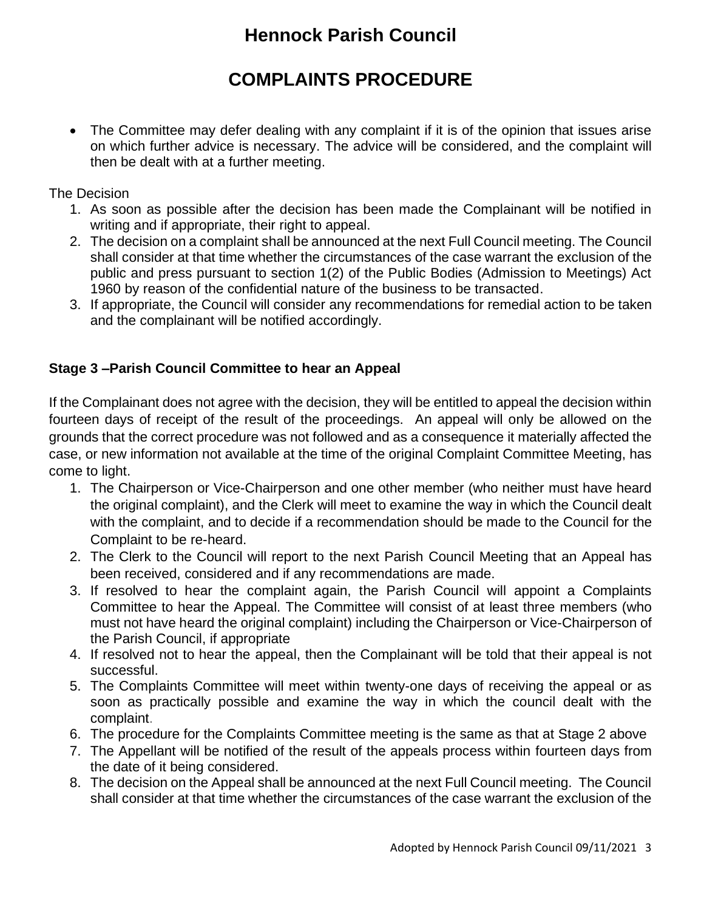# **COMPLAINTS PROCEDURE**

• The Committee may defer dealing with any complaint if it is of the opinion that issues arise on which further advice is necessary. The advice will be considered, and the complaint will then be dealt with at a further meeting.

#### The Decision

- 1. As soon as possible after the decision has been made the Complainant will be notified in writing and if appropriate, their right to appeal.
- 2. The decision on a complaint shall be announced at the next Full Council meeting. The Council shall consider at that time whether the circumstances of the case warrant the exclusion of the public and press pursuant to section 1(2) of the Public Bodies (Admission to Meetings) Act 1960 by reason of the confidential nature of the business to be transacted.
- 3. If appropriate, the Council will consider any recommendations for remedial action to be taken and the complainant will be notified accordingly.

### **Stage 3 –Parish Council Committee to hear an Appeal**

If the Complainant does not agree with the decision, they will be entitled to appeal the decision within fourteen days of receipt of the result of the proceedings. An appeal will only be allowed on the grounds that the correct procedure was not followed and as a consequence it materially affected the case, or new information not available at the time of the original Complaint Committee Meeting, has come to light.

- 1. The Chairperson or Vice-Chairperson and one other member (who neither must have heard the original complaint), and the Clerk will meet to examine the way in which the Council dealt with the complaint, and to decide if a recommendation should be made to the Council for the Complaint to be re-heard.
- 2. The Clerk to the Council will report to the next Parish Council Meeting that an Appeal has been received, considered and if any recommendations are made.
- 3. If resolved to hear the complaint again, the Parish Council will appoint a Complaints Committee to hear the Appeal. The Committee will consist of at least three members (who must not have heard the original complaint) including the Chairperson or Vice-Chairperson of the Parish Council, if appropriate
- 4. If resolved not to hear the appeal, then the Complainant will be told that their appeal is not successful.
- 5. The Complaints Committee will meet within twenty-one days of receiving the appeal or as soon as practically possible and examine the way in which the council dealt with the complaint.
- 6. The procedure for the Complaints Committee meeting is the same as that at Stage 2 above
- 7. The Appellant will be notified of the result of the appeals process within fourteen days from the date of it being considered.
- 8. The decision on the Appeal shall be announced at the next Full Council meeting. The Council shall consider at that time whether the circumstances of the case warrant the exclusion of the